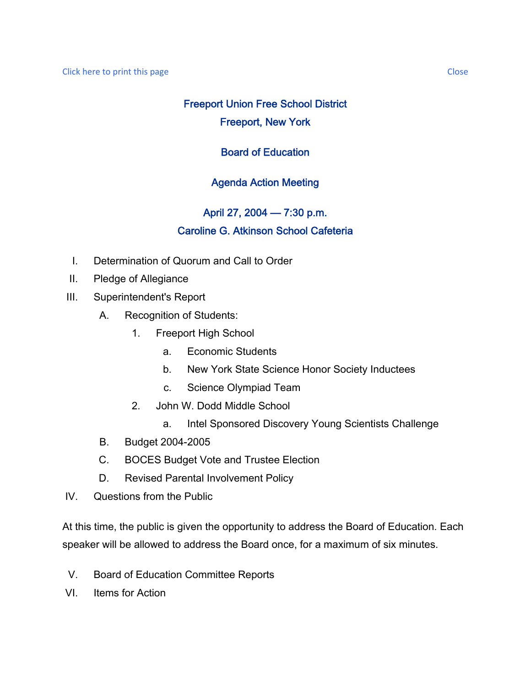# Freeport Union Free School District Freeport, New York

## Board of Education

## Agenda Action Meeting

## April 27, 2004 — 7:30 p.m. Caroline G. Atkinson School Cafeteria

- I. Determination of Quorum and Call to Order
- II. Pledge of Allegiance
- III. Superintendent's Report
	- A. Recognition of Students:
		- 1. Freeport High School
			- a. Economic Students
			- b. New York State Science Honor Society Inductees
			- c. Science Olympiad Team
		- 2. John W. Dodd Middle School
			- a. Intel Sponsored Discovery Young Scientists Challenge
	- B. Budget 2004-2005
	- C. BOCES Budget Vote and Trustee Election
	- D. Revised Parental Involvement Policy
- IV. Questions from the Public

At this time, the public is given the opportunity to address the Board of Education. Each speaker will be allowed to address the Board once, for a maximum of six minutes.

- V. Board of Education Committee Reports
- VI. Items for Action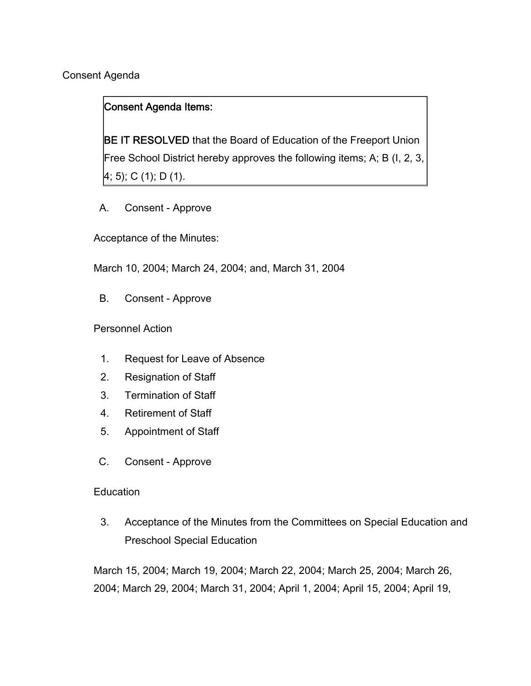Consent Agenda

## Consent Agenda Items:

BE IT RESOLVED that the Board of Education of the Freeport Union Free School District hereby approves the following items; A; B (I, 2, 3, 4; 5); C (1); D (1).

A. Consent - Approve

Acceptance of the Minutes:

March 10, 2004; March 24, 2004; and, March 31, 2004

B. Consent - Approve

Personnel Action

- 1. Request for Leave of Absence
- 2. Resignation of Staff
- 3. Termination of Staff
- 4. Retirement of Staff
- 5. Appointment of Staff
- C. Consent Approve

### **Education**

3. Acceptance of the Minutes from the Committees on Special Education and Preschool Special Education

March 15, 2004; March 19, 2004; March 22, 2004; March 25, 2004; March 26, 2004; March 29, 2004; March 31, 2004; April 1, 2004; April 15, 2004; April 19,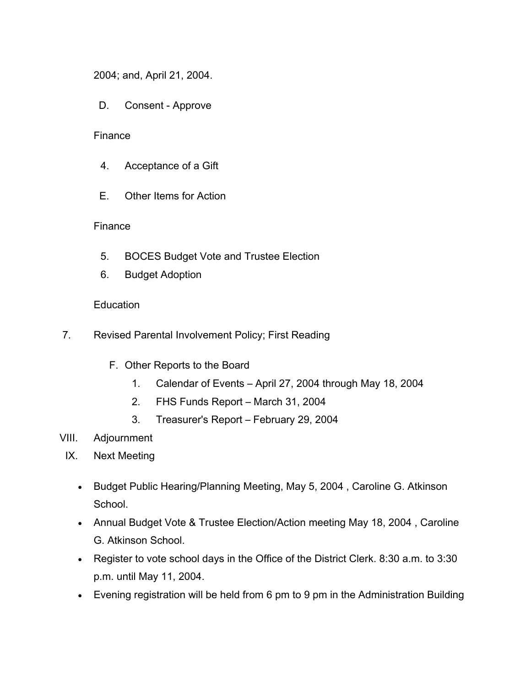2004; and, April 21, 2004.

D. Consent - Approve

### **Finance**

- 4. Acceptance of a Gift
- E. Other Items for Action

### Finance

- 5. BOCES Budget Vote and Trustee Election
- 6. Budget Adoption

### **Education**

- 7. Revised Parental Involvement Policy; First Reading
	- F. Other Reports to the Board
		- 1. Calendar of Events April 27, 2004 through May 18, 2004
		- 2. FHS Funds Report March 31, 2004
		- 3. Treasurer's Report February 29, 2004
- VIII. Adjournment
- IX. Next Meeting
	- Budget Public Hearing/Planning Meeting, May 5, 2004 , Caroline G. Atkinson School.
	- Annual Budget Vote & Trustee Election/Action meeting May 18, 2004 , Caroline G. Atkinson School.
	- Register to vote school days in the Office of the District Clerk. 8:30 a.m. to 3:30 p.m. until May 11, 2004.
	- Evening registration will be held from 6 pm to 9 pm in the Administration Building